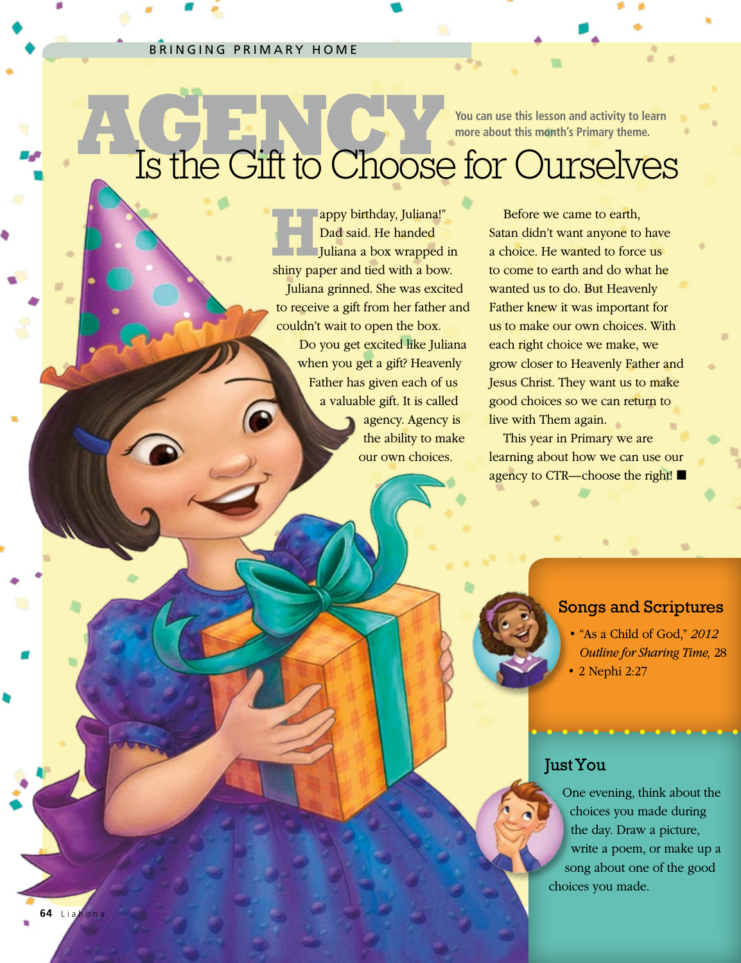#### BRINGING PRIMARY HOME

**64** Liah

**more about this month's Primary theme.**

# **AGENCY IS A CONCRETE AND AGENCY AND ASSESS AND A CONCRETE AND A CONCRETE AND A CONCRETE AND A CONCRETE AND A CONCRETE AND A CONCRETE AND A CONCRETE AND A CONCRETE AND A CONCRETE AND A CONCRETE AND A CONCRETE AND A CONCRET** Is the Gift to Choose for Ourselves

lappy birthday, Juliana!" Dad said. He handed Juliana a box wrapped in shiny paper and tied with a bow. Juliana grinned. She was excited to receive a gift from her father and couldn't wait to open the box. Do you get excited like Juliana when you get a gift? Heavenly Father has given each of us

> a valuable gift. It is called agency. Agency is the ability to make our own choices.

Before we came to earth, Satan didn't want anyone to have a choice. He wanted to force us to come to earth and do what he wanted us to do. But Heavenly Father knew it was important for us to make our own choices. With each right choice we make, we grow closer to Heavenly Father and Jesus Christ. They want us to make good choices so we can return to live with Them again.

This year in Primary we are learning about how we can use our agency to CTR—choose the right! ■

#### Songs and Scriptures

- "As a Child of God," *2012 Outline for Sharing Time,* 28
- 2 Nephi 2:27

### Just You

One evening, think about the choices you made during the day. Draw a picture, write a poem, or make up a song about one of the good choices you made.